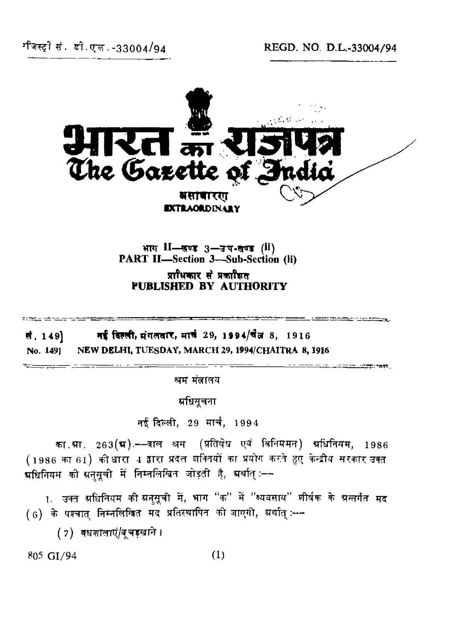

भाग II—सण्ड 3—उप-सण्ड (il)<br>PART II—Section 3—Sub-Section (ii) प्राधिकार से प्रकाशित **PUBLISHED BY AUTHORITY**

the component component and an analyzing process. मई विल्ली, मंगलवार, मार्च 29, 1994/चैत्न 8, 1916 र्स. 149]

**No. 149] NEW DELHI, TUESDAY, MARCH 29, 1994/CHAITRA 8, 1916**

श्रम मंत्रालय

प्रधिसूचना

नई दिल्ली, 29 मार्च, 1994

का.म्रा. 263(**म**).––वाल श्रम. (प्रतिषेध एवं विनियमन) म्रधिनियम, 1986 (1986 का 61) की धारा 4 द्वारा प्रदत्त गक्तियों का प्रयोग करते हुए केन्द्रीय सरकार उक्त म्रधिनियम को ग्रनसूची में निम्नलिखित जोड़ती है, म्रथति ≔⊸

1. उक्त ग्रधिनियम की ग्रन्**मूची में, भाग "क" में "व्यवसाय" शीर्ष**क के ग्रन्तर्गत मद 

(7) वधशालाएं/बचड़खाने।

 $805 \text{ G1}/94$  (1)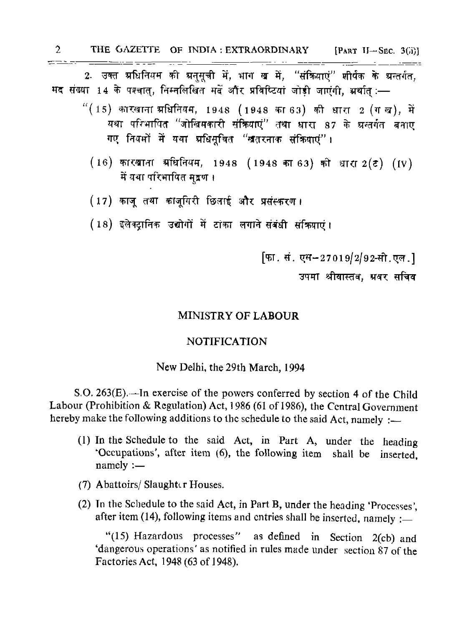**2** THE GAZETTE OF INDIA : EXTRAORDINARY [PART II-SEC. 3(ii)]

2. उक्त प्रधिनियम की ग्रनुसूची में, भाग ख में, "संक्रियाएं" शीर्षक के ग्रन्तर्गत, मद संख्या 14 के पश्चात्, निम्नलिखित मदें और प्रविष्टियां जोड़ी जाएंगी, भ्रयाति :-

- "(15) कारखाना प्रधिनियम, 1948 (1948 का 63) की धारा 2 (गख), में यथा परिभाषित "जोखिमकारी संक्रियाएं" तथा धारा 87 के ग्रन्तर्गत बनाए गए नियमों में यथा भ्रधिमुचित "खतरनाक संक्रियाएं"।
	- (16) कारखाना स्रधिनियम, 1948 (1948 का 63) की धारा 2(ट) (IV) में यथा परिभाषित मद्रण ।
	- (17) काज तथा काजुगिरी छिताई और प्रसंस्करण।

 $\tau$  =  $\tau$  =  $\tau$  =

(18) इलेक्ट्रानिक उद्योगों में टाका लगाने संबंधी संक्रियाएं।

फि. सं. एस-27019/2/92-सी.एल. 1 उपमा श्रीवास्तव. ग्रवर सचिव

## MINISTRY OF LABOUR

## NOTIFICATION

## New Delhi, the 29th March, 1994

S.O. 263(E).—In exercise of the powers conferred by section 4 of the Child Labour (Prohibition & Regulation) Act, 1986 (61 of 1986), the Central Government hereby make the following additions to the schedule to the said Act, namely : $\equiv$ 

- (1) In the Schedule to the said Act, in Part A, under the heading 'Occupations', after item (6), the following item shall be inserted, namely :—
- (7) Abattoirs/ Slaughter Houses.
- (2) Tn the Schedule to the said Act, in Part B, under the heading 'Processes', after item (14), following items and entries shall be inserted, namely :-

"(15) Hazardous processes" as defined in Section 2(cb) and 'dangerous operations' as notified in rules made under section 87 of the Factories Act, 1948 (63 of 1948).